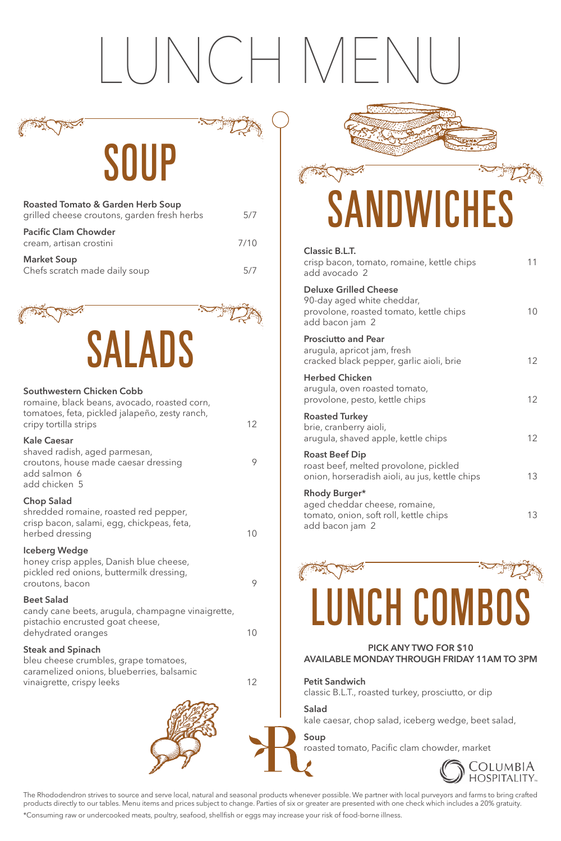### LUNCH MENU

SOUP

The Rhododendron strives to source and serve local, natural and seasonal products whenever possible. We partner with local purveyors and farms to bring crafted products directly to our tables. Menu items and prices subject to change. Parties of six or greater are presented with one check which includes a 20% gratuity. \*Consuming raw or undercooked meats, poultry, seafood, shellfish or eggs may increase your risk of food-borne illness.

| <b>Roasted Tomato &amp; Garden Herb Soup</b><br>grilled cheese croutons, garden fresh herbs | 5/7  |
|---------------------------------------------------------------------------------------------|------|
| <b>Pacific Clam Chowder</b><br>cream, artisan crostini                                      | 7/10 |
| <b>Market Soup</b><br>Chefs scratch made daily soup                                         | 5/7  |

shredded romaine, roasted red pepper, crisp bacon, salami, egg, chickpeas, feta, herbed dressing 10

| <b>Classic B.L.T.</b><br>crisp bacon, tomato, romaine, kettle chips<br>add avocado 2                                     | 11              |
|--------------------------------------------------------------------------------------------------------------------------|-----------------|
| <b>Deluxe Grilled Cheese</b><br>90-day aged white cheddar,<br>provolone, roasted tomato, kettle chips<br>add bacon jam 2 | 10              |
| <b>Prosciutto and Pear</b><br>arugula, apricot jam, fresh<br>cracked black pepper, garlic aioli, brie                    | 12 <sup>°</sup> |
| <b>Herbed Chicken</b><br>arugula, oven roasted tomato,<br>provolone, pesto, kettle chips                                 | 12 <sup>°</sup> |
| <b>Roasted Turkey</b><br>brie, cranberry aioli,<br>arugula, shaved apple, kettle chips                                   | 12 <sup>°</sup> |
| <b>Roast Beef Dip</b><br>roast beef, melted provolone, pickled<br>onion, horseradish aioli, au jus, kettle chips         | 13              |
| Rhody Burger*<br>aged cheddar cheese, romaine,<br>tomato, onion, soft roll, kettle chips<br>add bacon jam 2              | 13              |
|                                                                                                                          |                 |





candy cane beets, arugula, champagne vinaigrette, pistachio encrusted goat cheese, dehydrated oranges

| ×<br>٠<br>×. |               |
|--------------|---------------|
|              | ۰.<br>×<br>۰. |

bleu cheese crumbles, grape tomatoes, caramelized onions, blueberries, balsamic vinaigrette, crispy leeks 12

### LUNCH COMBOS

### **PICK ANY TWO FOR \$10 AVAILABLE MONDAY THROUGH FRIDAY 11AM TO 3PM**

**Petit Sandwich**  classic B.L.T., roasted turkey, prosciutto, or dip

### **Salad**

kale caesar, chop salad, iceberg wedge, beet salad,

### **Soup**

roasted tomato, Pacific clam chowder, market





### **Southwestern Chicken Cobb**

| romaine, black beans, avocado, roasted corn,<br>tomatoes, feta, pickled jalapeño, zesty ranch,<br>cripy tortilla strips      | 12 |
|------------------------------------------------------------------------------------------------------------------------------|----|
| <b>Kale Caesar</b><br>shaved radish, aged parmesan,<br>croutons, house made caesar dressing<br>add salmon 6<br>add chicken 5 |    |
| <b>Chop Salad</b><br>shredded romaine, roasted red pepper,                                                                   |    |

### **Iceberg Wedge**

honey crisp apples, Danish blue cheese, pickled red onions, buttermilk dressing, croutons, bacon 9

# **SANDWICHES**

### **Beet Salad**

### **Steak and Spinach**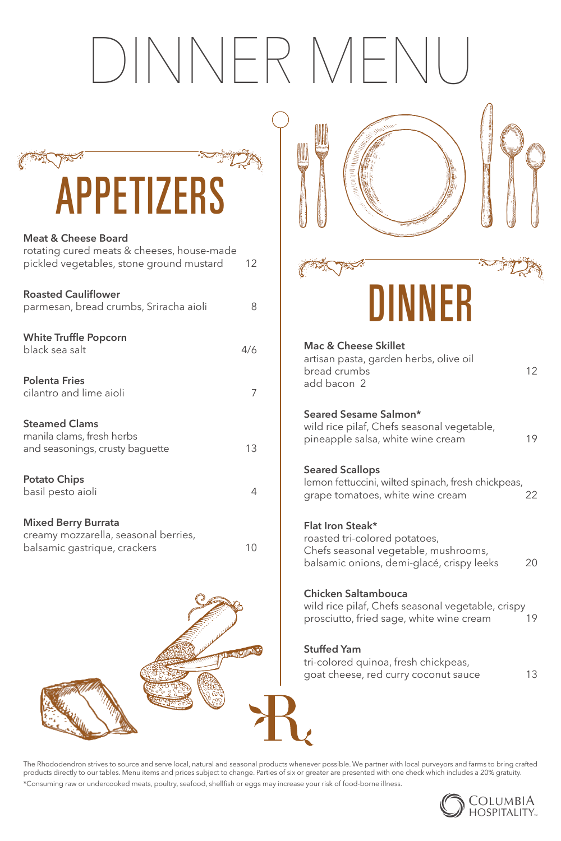## DINNER MENU





roasted tri-colored potatoes,

Chefs seasonal vegetable, mushrooms,

balsamic onions, demi-glacé, crispy leeks 20

### **Chicken Saltambouca**

wild rice pilaf, Chefs seasonal vegetable, crispy prosciutto, fried sage, white wine cream 19

### **Stuffed Yam**

tri-colored quinoa, fresh chickpeas, goat cheese, red curry coconut sauce 13



### **Meat & Cheese Board**

| rotating cured meats & cheeses, house-made<br>pickled vegetables, stone ground mustard             | 12  |  |
|----------------------------------------------------------------------------------------------------|-----|--|
| <b>Roasted Cauliflower</b><br>parmesan, bread crumbs, Sriracha aioli                               | 8   |  |
| <b>White Truffle Popcorn</b><br>black sea salt                                                     | 4/6 |  |
| <b>Polenta Fries</b><br>cilantro and lime aioli                                                    | 7   |  |
| <b>Steamed Clams</b><br>manila clams, fresh herbs<br>and seasonings, crusty baguette               | 13  |  |
| <b>Potato Chips</b><br>basil pesto aioli                                                           | 4   |  |
| <b>Mixed Berry Burrata</b><br>creamy mozzarella, seasonal berries,<br>balsamic gastrique, crackers | 10  |  |

The Rhododendron strives to source and serve local, natural and seasonal products whenever possible. We partner with local purveyors and farms to bring crafted products directly to our tables. Menu items and prices subject to change. Parties of six or greater are presented with one check which includes a 20% gratuity.

\*Consuming raw or undercooked meats, poultry, seafood, shellfish or eggs may increase your risk of food-borne illness.